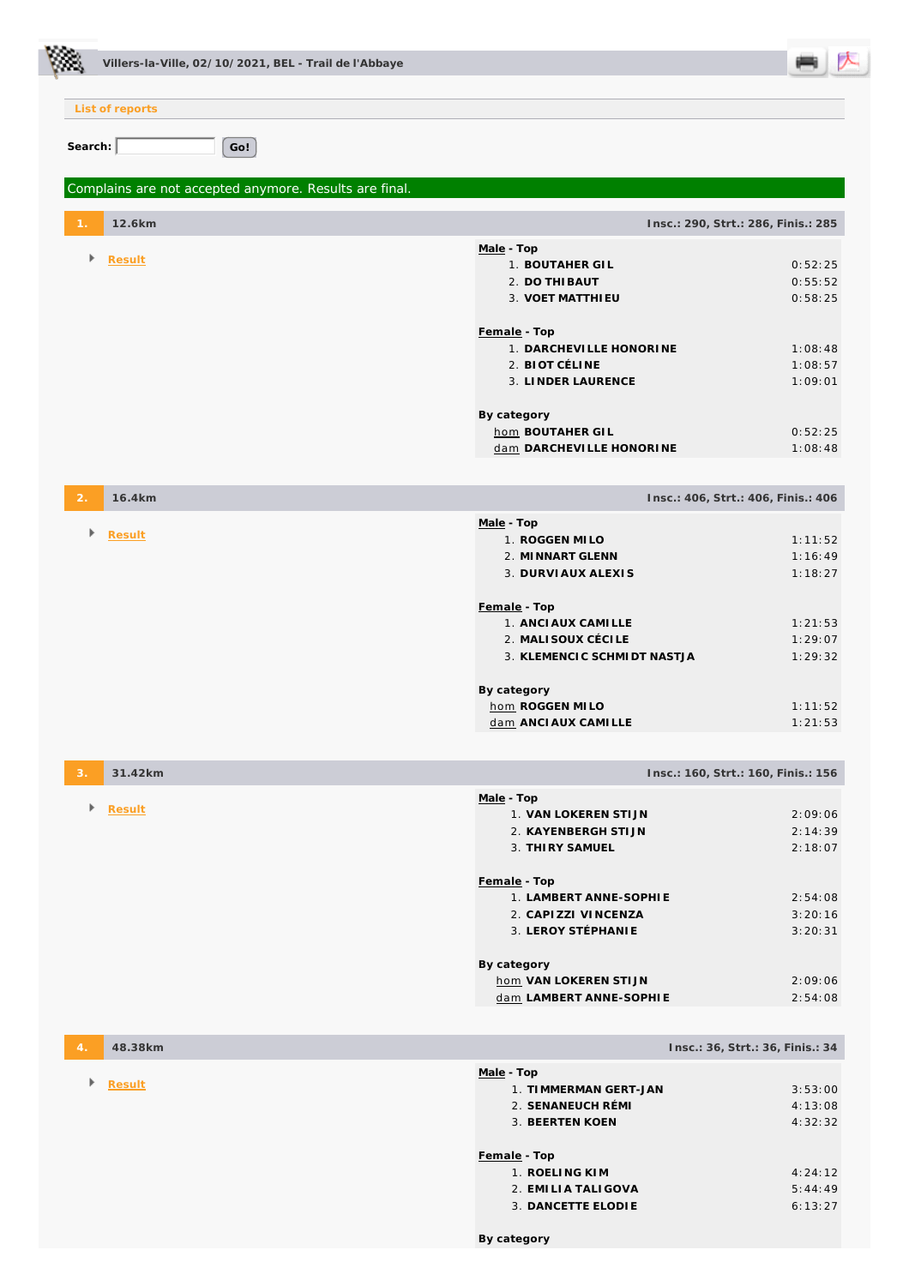|                 | Villers-la-Ville, 02/10/2021, BEL - Trail de l'Abbaye  |                                                  |                                     |
|-----------------|--------------------------------------------------------|--------------------------------------------------|-------------------------------------|
|                 | List of reports                                        |                                                  |                                     |
|                 |                                                        |                                                  |                                     |
| Search: $\vert$ | Go!                                                    |                                                  |                                     |
|                 | Complains are not accepted anymore. Results are final. |                                                  |                                     |
|                 | 12.6km                                                 |                                                  | Insc.: 290, Strt.: 286, Finis.: 285 |
| Þ.              | Result                                                 | Male - Top                                       |                                     |
|                 |                                                        | 1. BOUTAHER GIL<br>2. DO THI BAUT                | 0:52:25<br>0:55:52                  |
|                 |                                                        | 3. VOET MATTHI EU                                | 0:58:25                             |
|                 |                                                        |                                                  |                                     |
|                 |                                                        | Female - Top<br>1. DARCHEVILLE HONORINE          | 1:08:48                             |
|                 |                                                        | 2. BIOT CÉLINE                                   | 1:08:57                             |
|                 |                                                        | 3. LINDER LAURENCE                               | 1:09:01                             |
|                 |                                                        | By category                                      |                                     |
|                 |                                                        | hom BOUTAHER GIL                                 | 0:52:25                             |
|                 |                                                        | dam DARCHEVILLE HONORINE                         | 1:08:48                             |
| 2.              | 16.4km                                                 |                                                  | Insc.: 406, Strt.: 406, Finis.: 406 |
| Þ               | Result                                                 | Male - Top                                       |                                     |
|                 |                                                        | 1. ROGGEN MILO<br>2. MINNART GLENN               | 1:11:52<br>1:16:49                  |
|                 |                                                        | 3. DURVIAUX ALEXIS                               | 1:18:27                             |
|                 |                                                        |                                                  |                                     |
|                 |                                                        | Female - Top<br>1. ANCI AUX CAMI LLE             | 1:21:53                             |
|                 |                                                        | 2. MALISOUX CÉCILE                               | 1:29:07                             |
|                 |                                                        | 3. KLEMENCIC SCHMIDT NASTJA                      | 1:29:32                             |
|                 |                                                        | By category                                      |                                     |
|                 |                                                        | hom ROGGEN MILO                                  | 1:11:52                             |
|                 |                                                        | dam ANCI AUX CAMI LLE                            | 1:21:53                             |
| 3.              | 31.42km                                                |                                                  | Insc.: 160, Strt.: 160, Finis.: 156 |
| Þ               | Result                                                 | Male - Top                                       |                                     |
|                 |                                                        | 1. VAN LOKEREN STIJN<br>2. KAYENBERGH STIJN      | 2:09:06<br>2:14:39                  |
|                 |                                                        | 3. THIRY SAMUEL                                  | 2:18:07                             |
|                 |                                                        | Female - Top                                     |                                     |
|                 |                                                        | 1. LAMBERT ANNE-SOPHIE                           | 2:54:08                             |
|                 |                                                        | 2. CAPIZZI VINCENZA                              | 3:20:16                             |
|                 |                                                        | 3. LEROY STÉPHANIE                               | 3:20:31                             |
|                 |                                                        | By category                                      |                                     |
|                 |                                                        | hom VAN LOKEREN STIJN<br>dam LAMBERT ANNE-SOPHIE | 2:09:06<br>2:54:08                  |
|                 |                                                        |                                                  |                                     |
|                 | 48.38km                                                |                                                  | Insc.: 36, Strt.: 36, Finis.: 34    |
| Þ               | Result                                                 | Male - Top                                       |                                     |
|                 |                                                        | 1. TIMMERMAN GERT-JAN<br>2. SENANEUCH RÉMI       | 3:53:00<br>4:13:08                  |
|                 |                                                        | 3. BEERTEN KOEN                                  | 4:32:32                             |
|                 |                                                        | Female - Top                                     |                                     |
|                 |                                                        | 1. ROELING KIM                                   | 4:24:12                             |
|                 |                                                        | 2. EMILIA TALI GOVA<br>3. DANCETTE ELODIE        | 5:44:49<br>6:13:27                  |
|                 |                                                        |                                                  |                                     |

**By category**